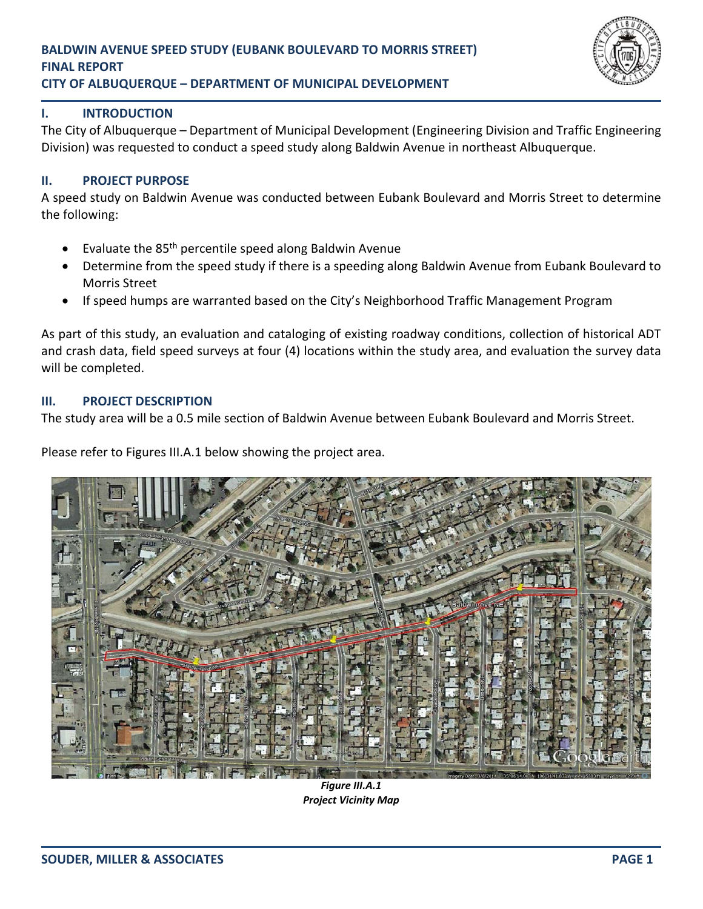

## **I. INTRODUCTION**

The City of Albuquerque – Department of Municipal Development (Engineering Division and Traffic Engineering Division) was requested to conduct a speed study along Baldwin Avenue in northeast Albuquerque.

## **II. PROJECT PURPOSE**

A speed study on Baldwin Avenue was conducted between Eubank Boulevard and Morris Street to determine the following:

- Evaluate the 85<sup>th</sup> percentile speed along Baldwin Avenue
- Determine from the speed study if there is a speeding along Baldwin Avenue from Eubank Boulevard to Morris Street
- If speed humps are warranted based on the City's Neighborhood Traffic Management Program

As part of this study, an evaluation and cataloging of existing roadway conditions, collection of historical ADT and crash data, field speed surveys at four (4) locations within the study area, and evaluation the survey data will be completed.

#### **III. PROJECT DESCRIPTION**

The study area will be a 0.5 mile section of Baldwin Avenue between Eubank Boulevard and Morris Street.

Please refer to Figures III.A.1 below showing the project area.



*Figure III.A.1 Project Vicinity Map*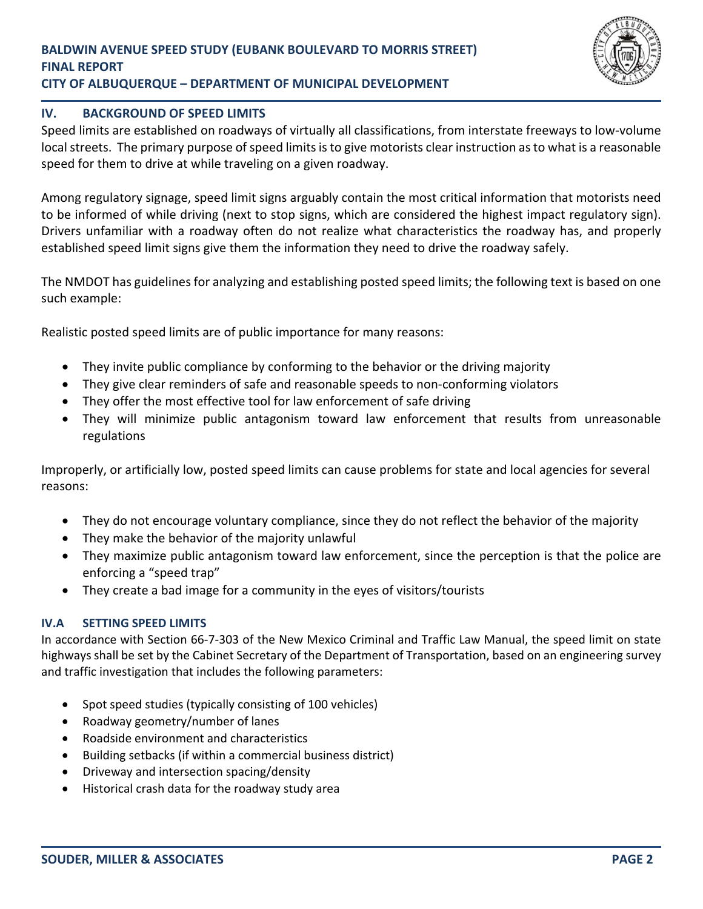

## **IV. BACKGROUND OF SPEED LIMITS**

Speed limits are established on roadways of virtually all classifications, from interstate freeways to low‐volume local streets. The primary purpose of speed limits is to give motorists clear instruction as to what is a reasonable speed for them to drive at while traveling on a given roadway.

Among regulatory signage, speed limit signs arguably contain the most critical information that motorists need to be informed of while driving (next to stop signs, which are considered the highest impact regulatory sign). Drivers unfamiliar with a roadway often do not realize what characteristics the roadway has, and properly established speed limit signs give them the information they need to drive the roadway safely.

The NMDOT has guidelines for analyzing and establishing posted speed limits; the following text is based on one such example:

Realistic posted speed limits are of public importance for many reasons:

- They invite public compliance by conforming to the behavior or the driving majority
- They give clear reminders of safe and reasonable speeds to non-conforming violators
- They offer the most effective tool for law enforcement of safe driving
- They will minimize public antagonism toward law enforcement that results from unreasonable regulations

Improperly, or artificially low, posted speed limits can cause problems for state and local agencies for several reasons:

- They do not encourage voluntary compliance, since they do not reflect the behavior of the majority
- They make the behavior of the majority unlawful
- They maximize public antagonism toward law enforcement, since the perception is that the police are enforcing a "speed trap"
- They create a bad image for a community in the eyes of visitors/tourists

#### **IV.A SETTING SPEED LIMITS**

In accordance with Section 66‐7‐303 of the New Mexico Criminal and Traffic Law Manual, the speed limit on state highways shall be set by the Cabinet Secretary of the Department of Transportation, based on an engineering survey and traffic investigation that includes the following parameters:

- Spot speed studies (typically consisting of 100 vehicles)
- Roadway geometry/number of lanes
- Roadside environment and characteristics
- Building setbacks (if within a commercial business district)
- Driveway and intersection spacing/density
- Historical crash data for the roadway study area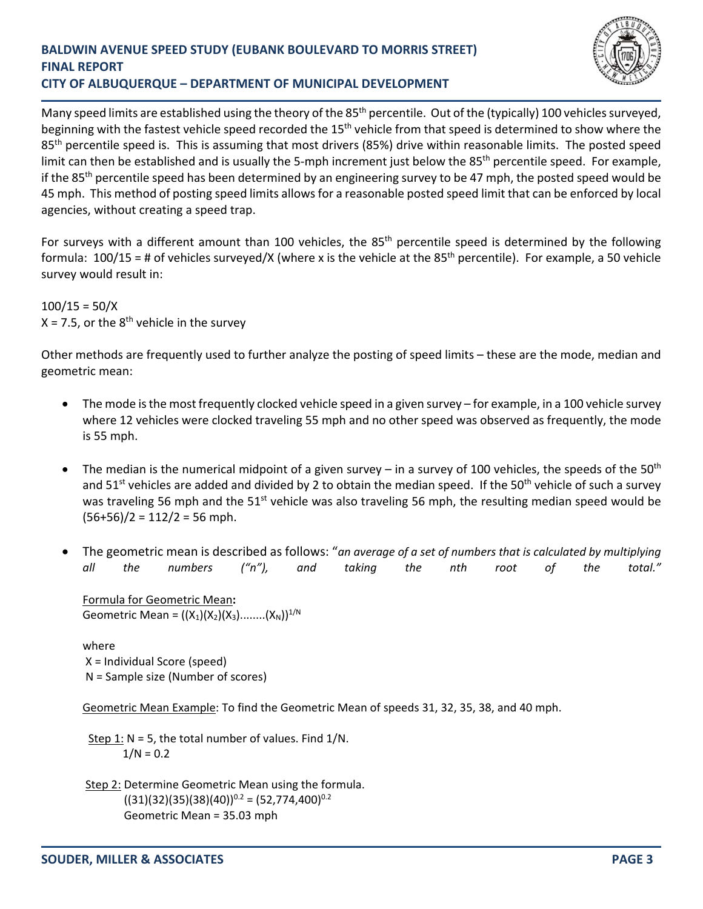

Many speed limits are established using the theory of the 85<sup>th</sup> percentile. Out of the (typically) 100 vehicles surveyed, beginning with the fastest vehicle speed recorded the 15<sup>th</sup> vehicle from that speed is determined to show where the 85<sup>th</sup> percentile speed is. This is assuming that most drivers (85%) drive within reasonable limits. The posted speed limit can then be established and is usually the 5-mph increment just below the  $85<sup>th</sup>$  percentile speed. For example, if the 85<sup>th</sup> percentile speed has been determined by an engineering survey to be 47 mph, the posted speed would be 45 mph. This method of posting speed limits allows for a reasonable posted speed limit that can be enforced by local agencies, without creating a speed trap.

For surveys with a different amount than 100 vehicles, the  $85<sup>th</sup>$  percentile speed is determined by the following formula:  $100/15$  = # of vehicles surveyed/X (where x is the vehicle at the 85<sup>th</sup> percentile). For example, a 50 vehicle survey would result in:

 $100/15 = 50/X$  $X = 7.5$ , or the  $8<sup>th</sup>$  vehicle in the survey

Other methods are frequently used to further analyze the posting of speed limits – these are the mode, median and geometric mean:

- The mode is the most frequently clocked vehicle speed in a given survey for example, in a 100 vehicle survey where 12 vehicles were clocked traveling 55 mph and no other speed was observed as frequently, the mode is 55 mph.
- The median is the numerical midpoint of a given survey in a survey of 100 vehicles, the speeds of the 50<sup>th</sup> and  $51<sup>st</sup>$  vehicles are added and divided by 2 to obtain the median speed. If the  $50<sup>th</sup>$  vehicle of such a survey was traveling 56 mph and the 51<sup>st</sup> vehicle was also traveling 56 mph, the resulting median speed would be  $(56+56)/2 = 112/2 = 56$  mph.
- The geometric mean is described as follows: "*an average of a set of numbers that is calculated by multiplying all the numbers ("n"), and taking the nth root of the total."*

Formula for Geometric Mean**:**  Geometric Mean =  $((X_1)(X_2)(X_3)$ ........ $((X_N))^{1/N}$ 

where X = Individual Score (speed) N = Sample size (Number of scores)

Geometric Mean Example: To find the Geometric Mean of speeds 31, 32, 35, 38, and 40 mph.

Step 1:  $N = 5$ , the total number of values. Find  $1/N$ .  $1/N = 0.2$ 

 Step 2: Determine Geometric Mean using the formula.  $((31)(32)(35)(38)(40))^{0.2} = (52,774,400)^{0.2}$ Geometric Mean = 35.03 mph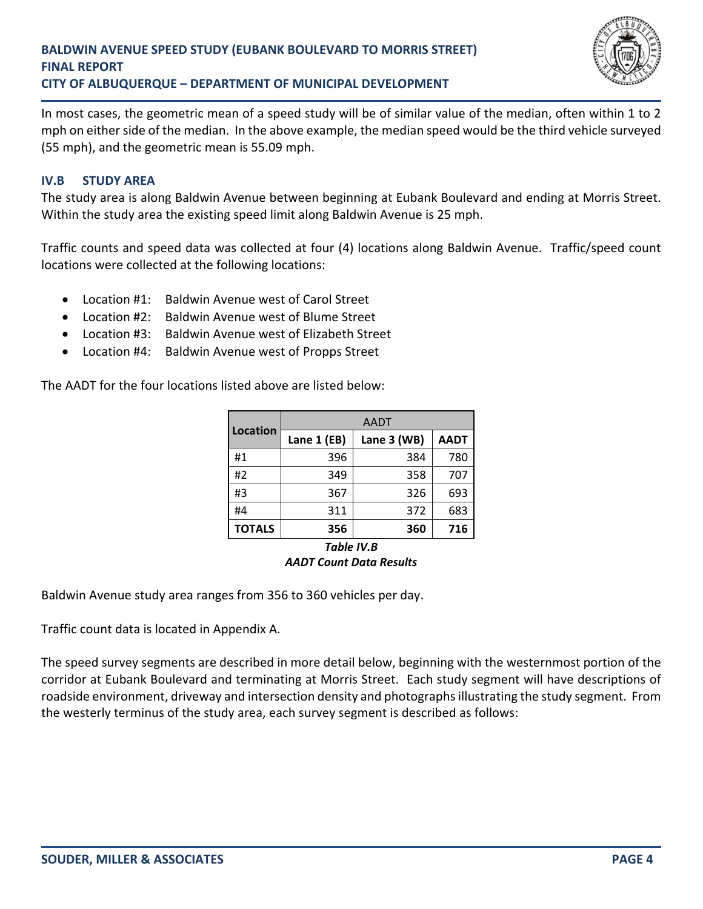

In most cases, the geometric mean of a speed study will be of similar value of the median, often within 1 to 2 mph on either side of the median. In the above example, the median speed would be the third vehicle surveyed (55 mph), and the geometric mean is 55.09 mph.

## **IV.B STUDY AREA**

The study area is along Baldwin Avenue between beginning at Eubank Boulevard and ending at Morris Street. Within the study area the existing speed limit along Baldwin Avenue is 25 mph.

Traffic counts and speed data was collected at four (4) locations along Baldwin Avenue. Traffic/speed count locations were collected at the following locations:

- Location #1: Baldwin Avenue west of Carol Street
- Location #2: Baldwin Avenue west of Blume Street
- Location #3: Baldwin Avenue west of Elizabeth Street
- Location #4: Baldwin Avenue west of Propps Street

The AADT for the four locations listed above are listed below:

|                 | <b>AADT</b> |             |             |
|-----------------|-------------|-------------|-------------|
| <b>Location</b> | Lane 1 (EB) | Lane 3 (WB) | <b>AADT</b> |
| #1              | 396         | 384         | 780         |
| #2              | 349         | 358         | 707         |
| #3              | 367         | 326         | 693         |
| #4              | 311         | 372         | 683         |
| <b>TOTALS</b>   | 356         | 360         | 716         |
| Table IV.B      |             |             |             |

# *AADT Count Data Results*

Baldwin Avenue study area ranges from 356 to 360 vehicles per day.

Traffic count data is located in Appendix A.

The speed survey segments are described in more detail below, beginning with the westernmost portion of the corridor at Eubank Boulevard and terminating at Morris Street. Each study segment will have descriptions of roadside environment, driveway and intersection density and photographs illustrating the study segment. From the westerly terminus of the study area, each survey segment is described as follows: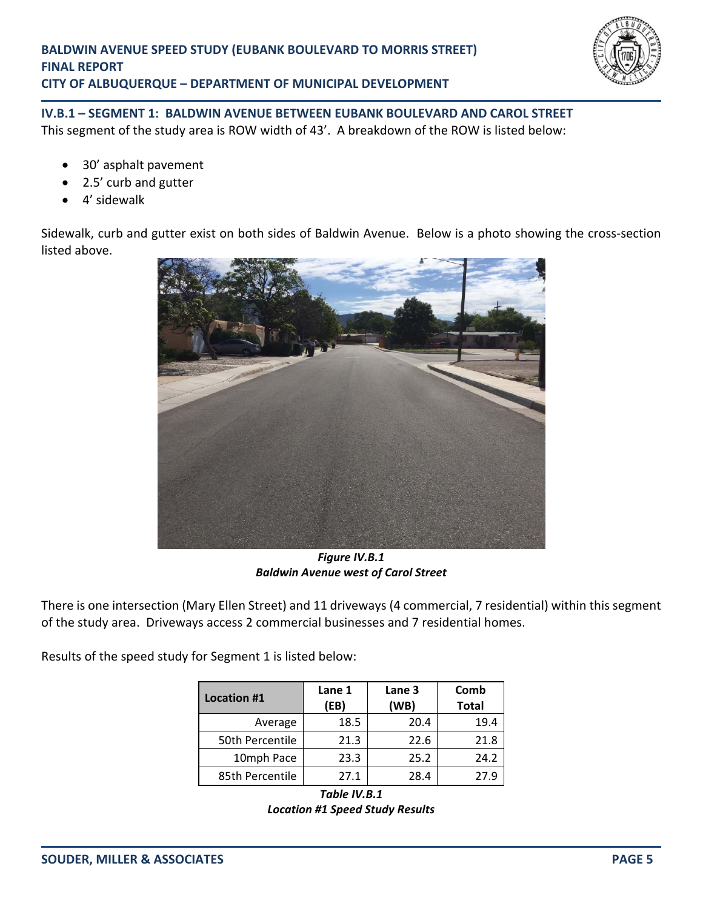

# **IV.B.1 – SEGMENT 1: BALDWIN AVENUE BETWEEN EUBANK BOULEVARD AND CAROL STREET** This segment of the study area is ROW width of 43'. A breakdown of the ROW is listed below:

- 30' asphalt pavement
- 2.5' curb and gutter
- 4' sidewalk

Sidewalk, curb and gutter exist on both sides of Baldwin Avenue. Below is a photo showing the cross‐section listed above.



*Figure IV.B.1 Baldwin Avenue west of Carol Street* 

There is one intersection (Mary Ellen Street) and 11 driveways (4 commercial, 7 residential) within this segment of the study area. Driveways access 2 commercial businesses and 7 residential homes.

Results of the speed study for Segment 1 is listed below:

| <b>Location #1</b> | Lane 1<br>(EB) | Lane 3<br>(WB) | Comb<br><b>Total</b> |
|--------------------|----------------|----------------|----------------------|
| Average            | 18.5           | 20.4           | 19.4                 |
| 50th Percentile    | 21.3           | 22.6           | 21.8                 |
| 10mph Pace         | 23.3           | 25.2           | 24.2                 |
| 85th Percentile    | 27.1           | 28.4           | 27.9                 |

*Table IV.B.1 Location #1 Speed Study Results*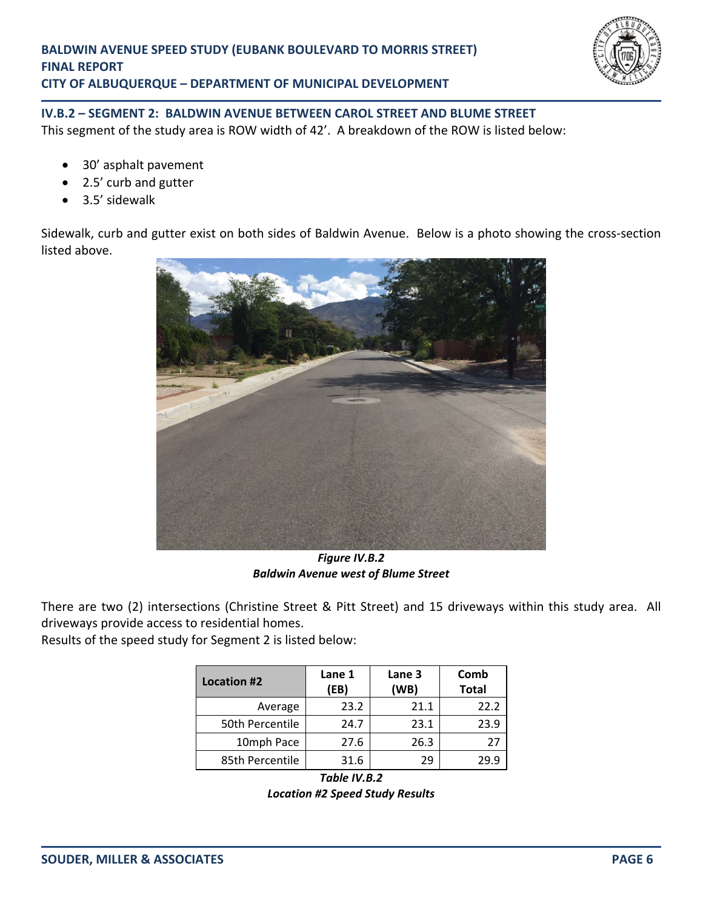

# **IV.B.2 – SEGMENT 2: BALDWIN AVENUE BETWEEN CAROL STREET AND BLUME STREET**

This segment of the study area is ROW width of 42'. A breakdown of the ROW is listed below:

- 30' asphalt pavement
- 2.5' curb and gutter
- 3.5' sidewalk

Sidewalk, curb and gutter exist on both sides of Baldwin Avenue. Below is a photo showing the cross-section listed above.



*Figure IV.B.2 Baldwin Avenue west of Blume Street* 

There are two (2) intersections (Christine Street & Pitt Street) and 15 driveways within this study area. All driveways provide access to residential homes.

Results of the speed study for Segment 2 is listed below:

| <b>Location #2</b> | Lane 1<br>(EB) | Lane 3<br>(WB) | Comb<br><b>Total</b> |
|--------------------|----------------|----------------|----------------------|
| Average            | 23.2           | 21.1           | 22.2                 |
| 50th Percentile    | 24.7           | 23.1           | 23.9                 |
| 10mph Pace         | 27.6           | 26.3           | 27                   |
| 85th Percentile    | 31.6           | 29             | 29.9                 |

*Table IV.B.2 Location #2 Speed Study Results*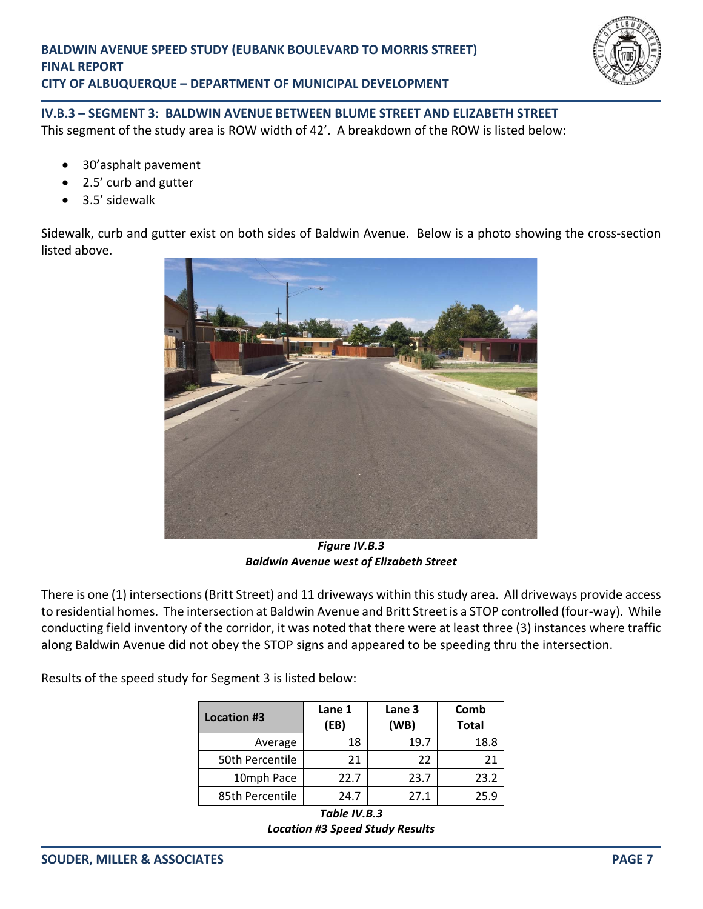

# **IV.B.3 – SEGMENT 3: BALDWIN AVENUE BETWEEN BLUME STREET AND ELIZABETH STREET**  This segment of the study area is ROW width of 42'. A breakdown of the ROW is listed below:

- 30'asphalt pavement
- 2.5' curb and gutter
- 3.5' sidewalk

Sidewalk, curb and gutter exist on both sides of Baldwin Avenue. Below is a photo showing the cross-section listed above.



*Figure IV.B.3 Baldwin Avenue west of Elizabeth Street*

There is one (1) intersections (Britt Street) and 11 driveways within this study area. All driveways provide access to residential homes. The intersection at Baldwin Avenue and Britt Street is a STOP controlled (four‐way). While conducting field inventory of the corridor, it was noted that there were at least three (3) instances where traffic along Baldwin Avenue did not obey the STOP signs and appeared to be speeding thru the intersection.

Results of the speed study for Segment 3 is listed below:

| Location #3     | Lane 1<br>(EB) | Lane 3<br>(WB) | Comb<br><b>Total</b> |
|-----------------|----------------|----------------|----------------------|
| Average         | 18             | 19.7           | 18.8                 |
| 50th Percentile | 21             | 22             | 21                   |
| 10mph Pace      | 22.7           | 23.7           | 23.2                 |
| 85th Percentile | 24.7           | 27.1           | 25.9                 |

*Table IV.B.3 Location #3 Speed Study Results*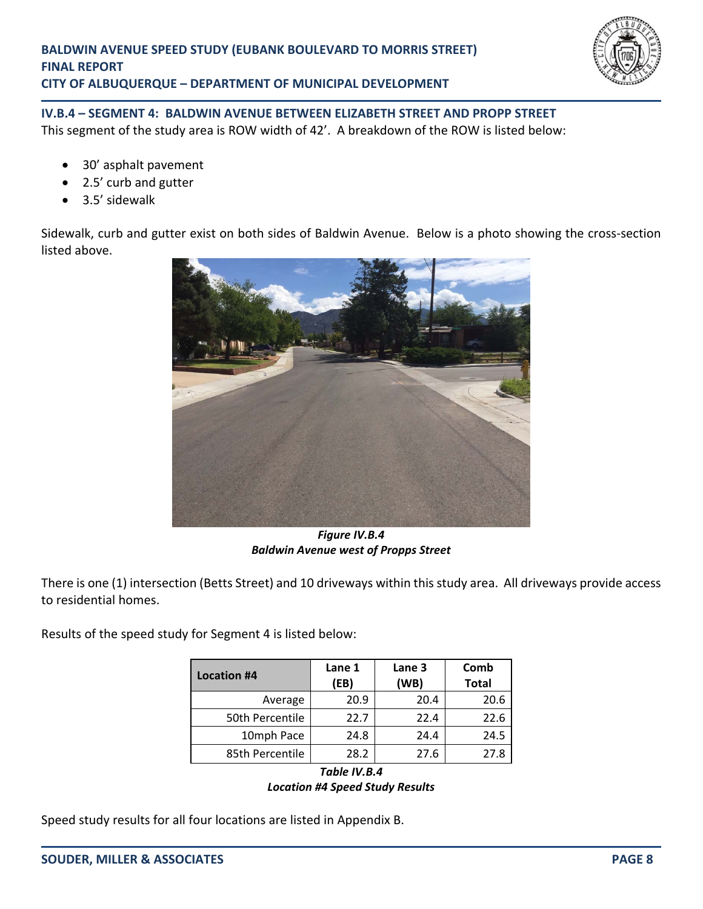

# **IV.B.4 – SEGMENT 4: BALDWIN AVENUE BETWEEN ELIZABETH STREET AND PROPP STREET**  This segment of the study area is ROW width of 42'. A breakdown of the ROW is listed below:

- 30' asphalt pavement
- 2.5' curb and gutter
- 3.5' sidewalk

Sidewalk, curb and gutter exist on both sides of Baldwin Avenue. Below is a photo showing the cross-section listed above.



*Figure IV.B.4 Baldwin Avenue west of Propps Street*

There is one (1) intersection (Betts Street) and 10 driveways within this study area. All driveways provide access to residential homes.

Results of the speed study for Segment 4 is listed below:

| <b>Location #4</b> | Lane 1<br>(EB) | Lane 3<br>(WB) | Comb<br><b>Total</b> |
|--------------------|----------------|----------------|----------------------|
| Average            | 20.9           | 20.4           | 20.6                 |
| 50th Percentile    | 22.7           | 22.4           | 22.6                 |
| 10mph Pace         | 24.8           | 24.4           | 24.5                 |
| 85th Percentile    | 28.2           | 27.6           | 27.8                 |

*Table IV.B.4 Location #4 Speed Study Results* 

Speed study results for all four locations are listed in Appendix B.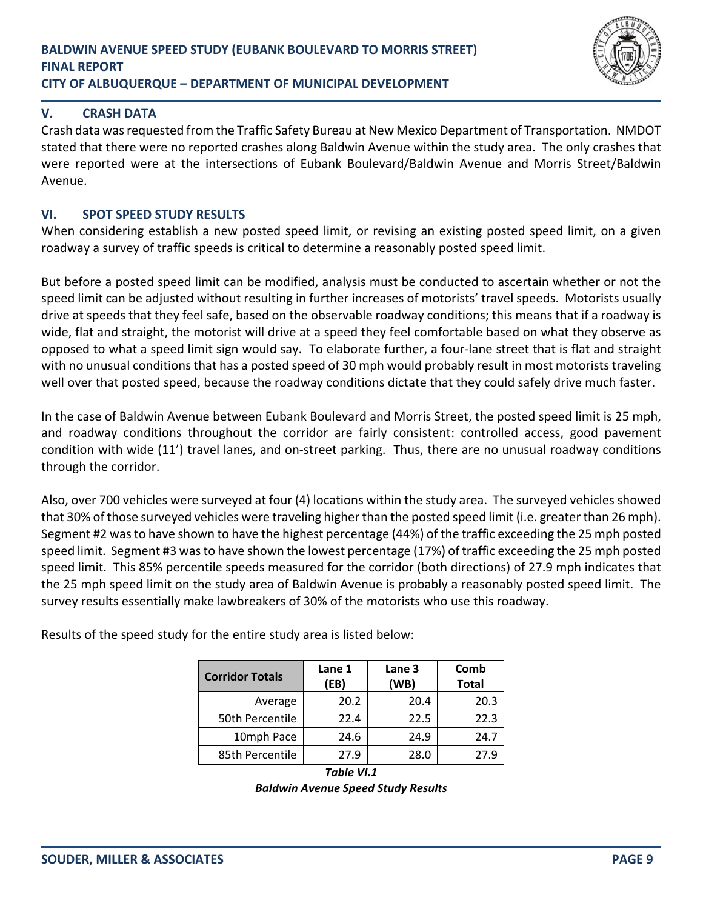

## **V. CRASH DATA**

Crash data was requested from the Traffic Safety Bureau at New Mexico Department of Transportation. NMDOT stated that there were no reported crashes along Baldwin Avenue within the study area. The only crashes that were reported were at the intersections of Eubank Boulevard/Baldwin Avenue and Morris Street/Baldwin Avenue.

### **VI. SPOT SPEED STUDY RESULTS**

When considering establish a new posted speed limit, or revising an existing posted speed limit, on a given roadway a survey of traffic speeds is critical to determine a reasonably posted speed limit.

But before a posted speed limit can be modified, analysis must be conducted to ascertain whether or not the speed limit can be adjusted without resulting in further increases of motorists' travel speeds. Motorists usually drive at speeds that they feel safe, based on the observable roadway conditions; this means that if a roadway is wide, flat and straight, the motorist will drive at a speed they feel comfortable based on what they observe as opposed to what a speed limit sign would say. To elaborate further, a four‐lane street that is flat and straight with no unusual conditions that has a posted speed of 30 mph would probably result in most motorists traveling well over that posted speed, because the roadway conditions dictate that they could safely drive much faster.

In the case of Baldwin Avenue between Eubank Boulevard and Morris Street, the posted speed limit is 25 mph, and roadway conditions throughout the corridor are fairly consistent: controlled access, good pavement condition with wide (11') travel lanes, and on‐street parking. Thus, there are no unusual roadway conditions through the corridor.

Also, over 700 vehicles were surveyed at four (4) locations within the study area. The surveyed vehicles showed that 30% of those surveyed vehicles were traveling higher than the posted speed limit (i.e. greater than 26 mph). Segment #2 was to have shown to have the highest percentage (44%) of the traffic exceeding the 25 mph posted speed limit. Segment #3 was to have shown the lowest percentage (17%) of traffic exceeding the 25 mph posted speed limit. This 85% percentile speeds measured for the corridor (both directions) of 27.9 mph indicates that the 25 mph speed limit on the study area of Baldwin Avenue is probably a reasonably posted speed limit. The survey results essentially make lawbreakers of 30% of the motorists who use this roadway.

| <b>Corridor Totals</b> | Lane 1<br>(EB) | Lane 3<br>(WB) | Comb<br><b>Total</b> |
|------------------------|----------------|----------------|----------------------|
| Average                | 20.2           | 20.4           | 20.3                 |
| 50th Percentile        | 22.4           | 22.5           | 22.3                 |
| 10mph Pace             | 24.6           | 24.9           | 24.7                 |
| 85th Percentile        | 27.9           | 28.0           | 27.9                 |

Results of the speed study for the entire study area is listed below:

*Table VI.1 Baldwin Avenue Speed Study Results*